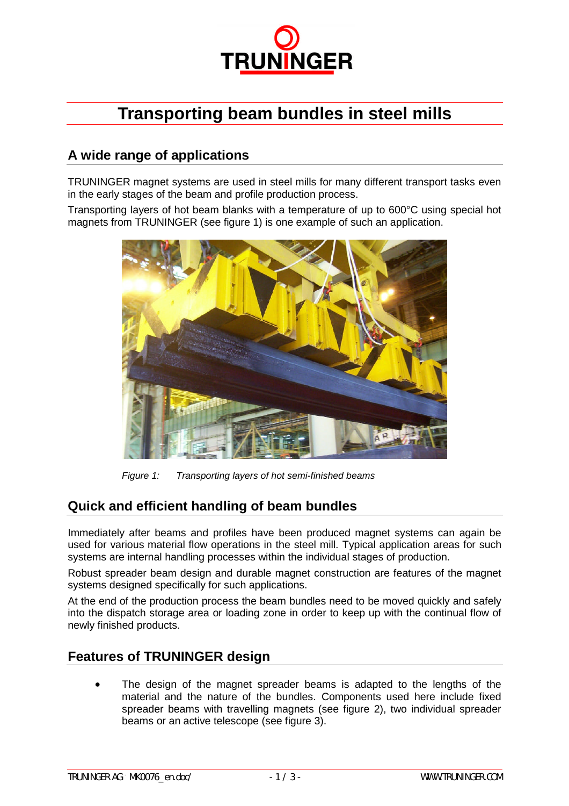

# **Transporting beam bundles in steel mills**

### **A wide range of applications**

TRUNINGER magnet systems are used in steel mills for many different transport tasks even in the early stages of the beam and profile production process.

Transporting layers of hot beam blanks with a temperature of up to 600°C using special hot magnets from TRUNINGER (see figure 1) is one example of such an application.



*Figure 1: Transporting layers of hot semi-finished beams*

#### **Quick and efficient handling of beam bundles**

Immediately after beams and profiles have been produced magnet systems can again be used for various material flow operations in the steel mill. Typical application areas for such systems are internal handling processes within the individual stages of production.

Robust spreader beam design and durable magnet construction are features of the magnet systems designed specifically for such applications.

At the end of the production process the beam bundles need to be moved quickly and safely into the dispatch storage area or loading zone in order to keep up with the continual flow of newly finished products.

#### **Features of TRUNINGER design**

 The design of the magnet spreader beams is adapted to the lengths of the material and the nature of the bundles. Components used here include fixed spreader beams with travelling magnets (see figure 2), two individual spreader beams or an active telescope (see figure 3).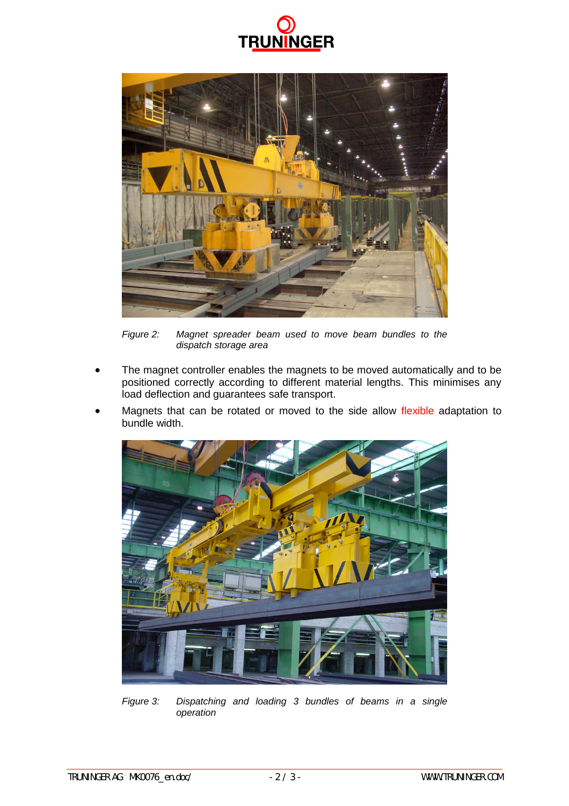



*Figure 2: Magnet spreader beam used to move beam bundles to the dispatch storage area*

- The magnet controller enables the magnets to be moved automatically and to be positioned correctly according to different material lengths. This minimises any load deflection and guarantees safe transport.
- Magnets that can be rotated or moved to the side allow flexible adaptation to bundle width.



*Figure 3: Dispatching and loading 3 bundles of beams in a single operation*